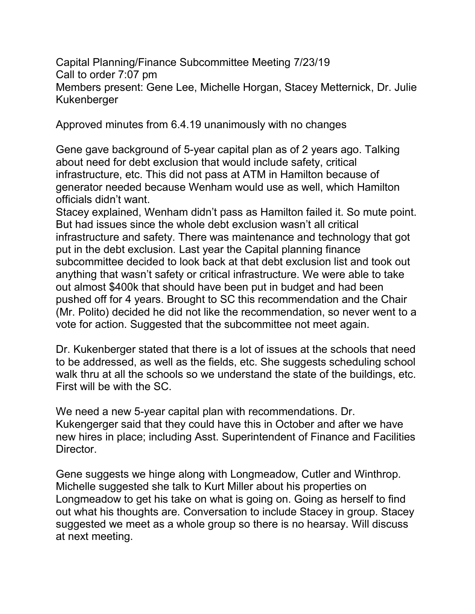Capital Planning/Finance Subcommittee Meeting 7/23/19 Call to order 7:07 pm Members present: Gene Lee, Michelle Horgan, Stacey Metternick, Dr. Julie Kukenberger

Approved minutes from 6.4.19 unanimously with no changes

Gene gave background of 5-year capital plan as of 2 years ago. Talking about need for debt exclusion that would include safety, critical infrastructure, etc. This did not pass at ATM in Hamilton because of generator needed because Wenham would use as well, which Hamilton officials didn't want.

Stacey explained, Wenham didn't pass as Hamilton failed it. So mute point. But had issues since the whole debt exclusion wasn't all critical infrastructure and safety. There was maintenance and technology that got put in the debt exclusion. Last year the Capital planning finance subcommittee decided to look back at that debt exclusion list and took out anything that wasn't safety or critical infrastructure. We were able to take out almost \$400k that should have been put in budget and had been pushed off for 4 years. Brought to SC this recommendation and the Chair (Mr. Polito) decided he did not like the recommendation, so never went to a vote for action. Suggested that the subcommittee not meet again.

Dr. Kukenberger stated that there is a lot of issues at the schools that need to be addressed, as well as the fields, etc. She suggests scheduling school walk thru at all the schools so we understand the state of the buildings, etc. First will be with the SC.

We need a new 5-year capital plan with recommendations. Dr. Kukengerger said that they could have this in October and after we have new hires in place; including Asst. Superintendent of Finance and Facilities Director.

Gene suggests we hinge along with Longmeadow, Cutler and Winthrop. Michelle suggested she talk to Kurt Miller about his properties on Longmeadow to get his take on what is going on. Going as herself to find out what his thoughts are. Conversation to include Stacey in group. Stacey suggested we meet as a whole group so there is no hearsay. Will discuss at next meeting.